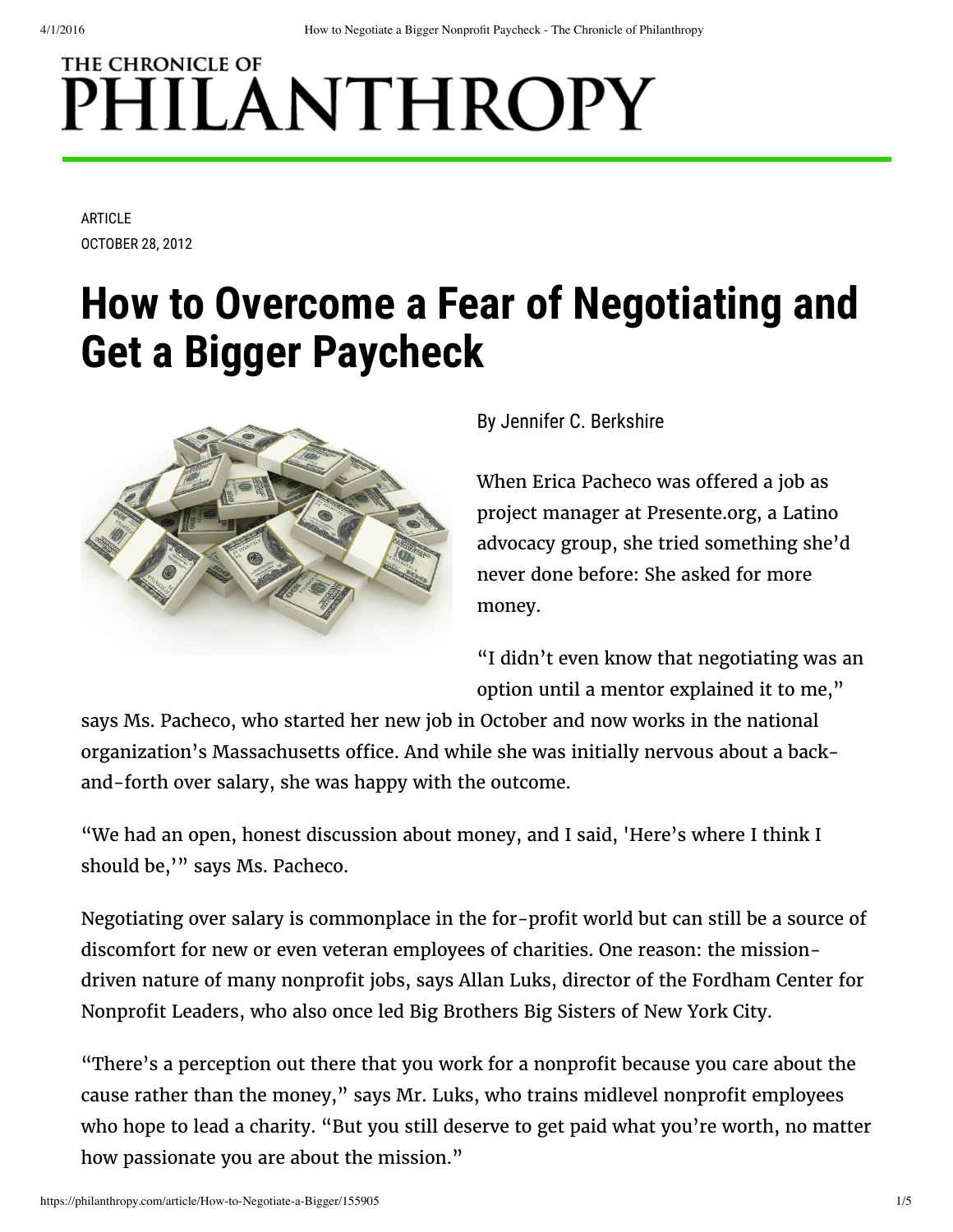# THE CHRONICLE OF PHILANTHROPY

**ARTICLE** OCTOBER 28, 2012

## **How to Overcome a Fear of Negotiating and Get a Bigger Paycheck**



#### By Jennifer C. Berkshire

When Erica Pacheco was offered a job as project manager at Presente.org, a Latino advocacy group, she tried something she'd never done before: She asked for more money.

"I didn't even know that negotiating was an option until a mentor explained it to me,"

says Ms. Pacheco, who started her new job in October and now works in the national organization's Massachusetts office. And while she was initially nervous about a backand-forth over salary, she was happy with the outcome.

"We had an open, honest discussion about money, and I said, 'Here's where I think I should be,'" says Ms. Pacheco.

Negotiating over salary is commonplace in the for-profit world but can still be a source of discomfort for new or even veteran employees of charities. One reason: the missiondriven nature of many nonprofit jobs, says Allan Luks, director of the Fordham Center for Nonprofit Leaders, who also once led Big Brothers Big Sisters of New York City.

"There's a perception out there that you work for a nonprofit because you care about the cause rather than the money," says Mr. Luks, who trains midlevel nonprofit employees who hope to lead a charity. "But you still deserve to get paid what you're worth, no matter how passionate you are about the mission."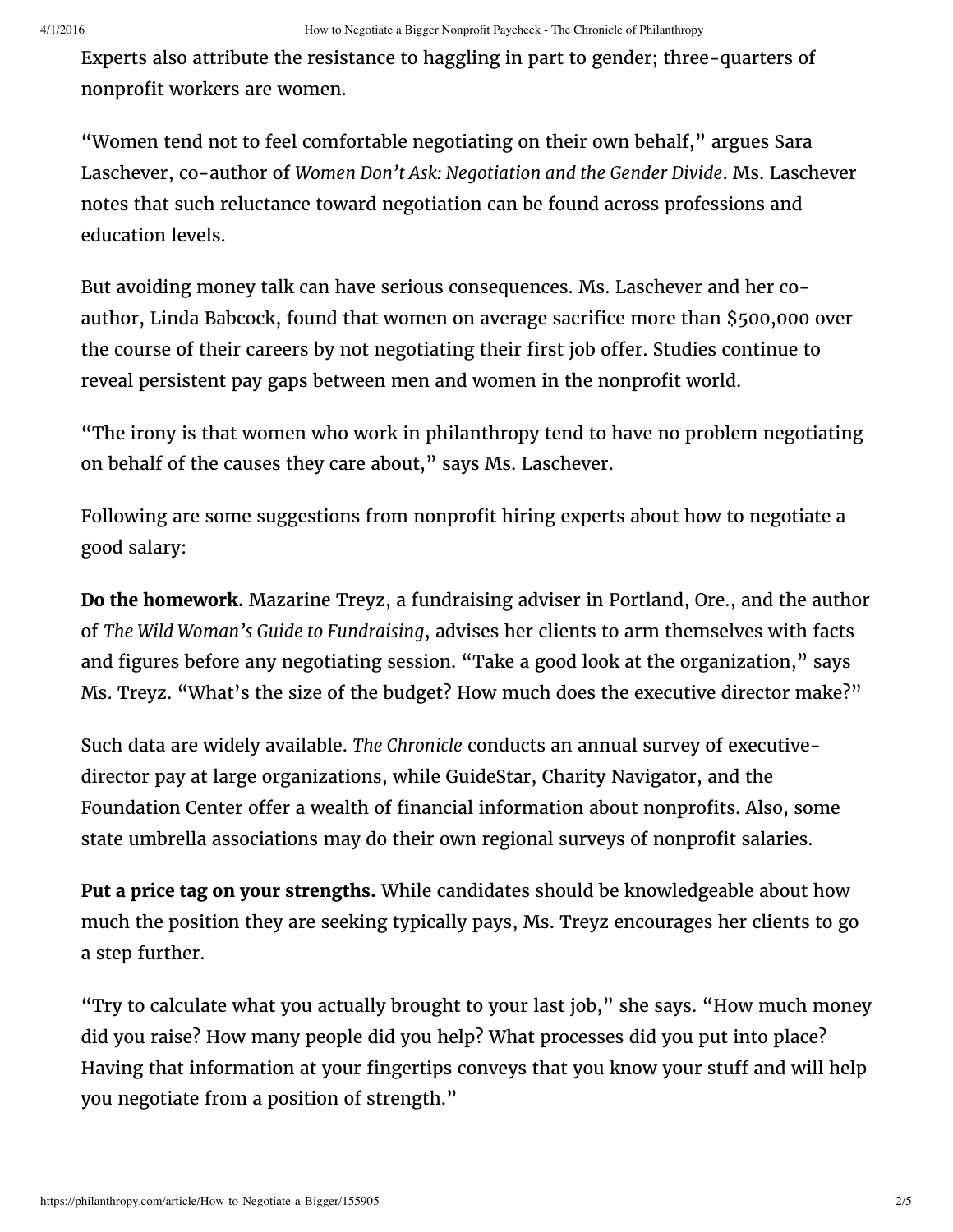Experts also attribute the resistance to haggling in part to gender; three-quarters of nonprofit workers are women.

"Women tend not to feel comfortable negotiating on their own behalf," argues Sara Laschever, co-author of *Women Don't Ask: Negotiation and the Gender Divide*. Ms. Laschever notes that such reluctance toward negotiation can be found across professions and education levels.

But avoiding money talk can have serious consequences. Ms. Laschever and her coauthor, Linda Babcock, found that women on average sacrifice more than \$500,000 over the course of their careers by not negotiating their first job offer. Studies continue to reveal persistent pay [gaps](http://philanthropy.com/article/CEO-Pay-Stagnated-in-2010-the/134320/) between men and women in the nonprofit world.

"The irony is that women who work in philanthropy tend to have no problem negotiating on behalf of the causes they care about," says Ms. Laschever.

Following are some suggestions from nonprofit hiring experts about how to negotiate a good salary:

**Do the homework.** Mazarine Treyz, a fundraising adviser in Portland, Ore., and the author of *The Wild Woman's Guide to Fundraising*, advises her clients to arm themselves with facts and figures before any negotiating session. "Take a good look at the organization," says Ms. Treyz. "What's the size of the budget? How much does the executive director make?"

Such data are widely available. *The Chronicle* conducts an annual [survey](http://philanthropy.com/section/Executive-Compensation/236/) of executivedirector pay at large organizations, while GuideStar, Charity Navigator, and the Foundation Center offer a wealth of financial information about nonprofits. Also, some state umbrella [associations](http://www.councilofnonprofits.org/salocator) may do their own regional surveys of nonprofit salaries.

**Put a price tag on your strengths.** While candidates should be knowledgeable about how much the position they are seeking typically pays, Ms. Treyz encourages her clients to go a step further.

"Try to calculate what you actually brought to your last job," she says. "How much money did you raise? How many people did you help? What processes did you put into place? Having that information at your fingertips conveys that you know your stuff and will help you negotiate from a position of strength."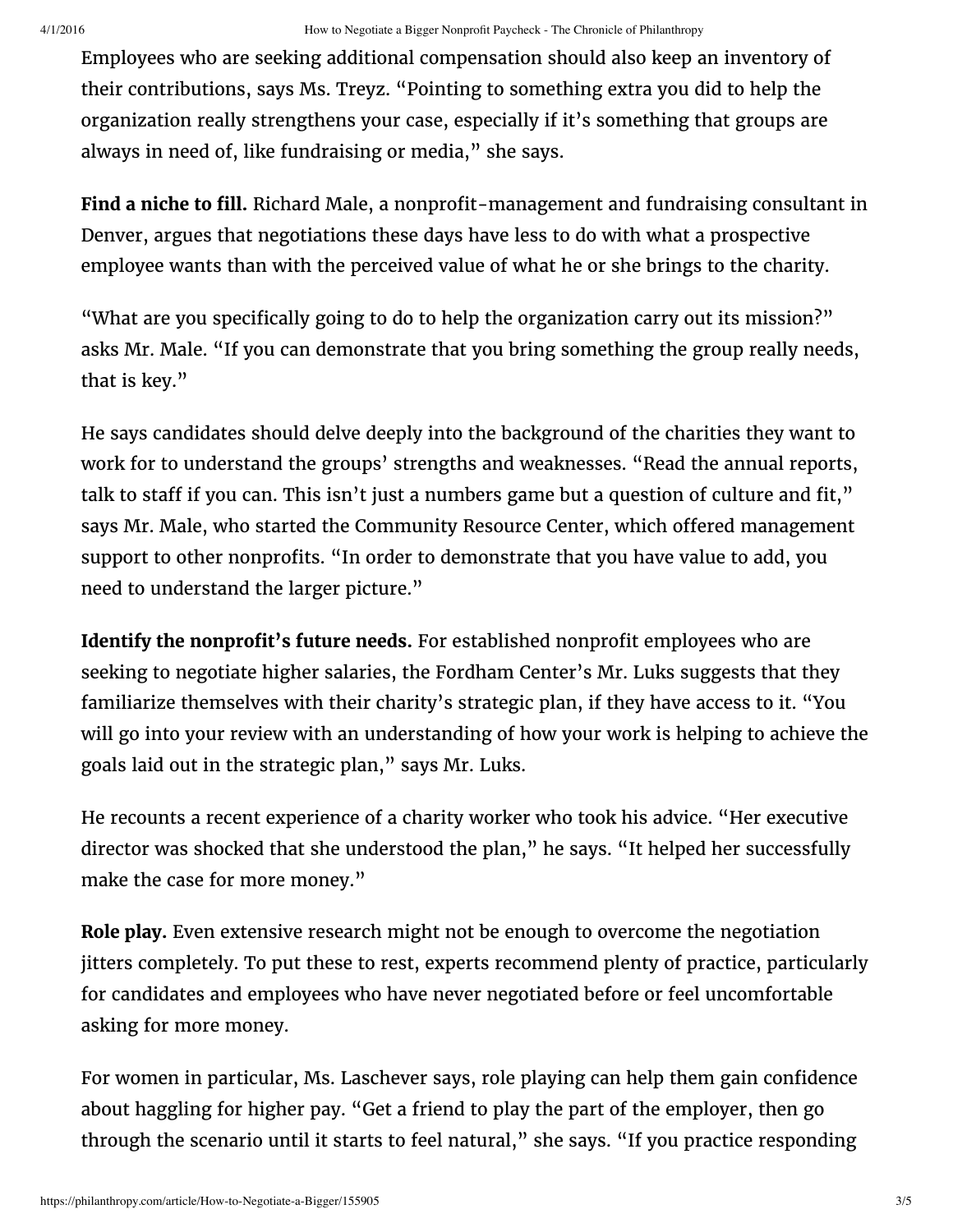Employees who are seeking additional compensation should also keep an inventory of their contributions, says Ms. Treyz. "Pointing to something extra you did to help the organization really strengthens your case, especially if it's something that groups are always in need of, like fundraising or media," she says.

**Find a niche to fill.** Richard Male, a nonprofit-management and fundraising consultant in Denver, argues that negotiations these days have less to do with what a prospective employee wants than with the perceived value of what he or she brings to the charity.

"What are you specifically going to do to help the organization carry out its mission?" asks Mr. Male. "If you can demonstrate that you bring something the group really needs, that is key."

He says candidates should delve deeply into the background of the charities they want to work for to understand the groups' strengths and weaknesses. "Read the annual reports, talk to staff if you can. This isn't just a numbers game but a question of culture and fit," says Mr. Male, who started the Community Resource Center, which offered management support to other nonprofits. "In order to demonstrate that you have value to add, you need to understand the larger picture."

**Identify** the **nonprofit's** future needs. For established nonprofit employees who are seeking to negotiate higher salaries, the Fordham Center's Mr. Luks suggests that they familiarize themselves with their charity's strategic plan, if they have access to it. "You will go into your review with an understanding of how your work is helping to achieve the goals laid out in the strategic plan," says Mr. Luks.

He recounts a recent experience of a charity worker who took his advice. "Her executive director was shocked that she understood the plan," he says. "It helped her successfully make the case for more money."

**Role play.** Even extensive research might not be enough to overcome the negotiation jitters completely. To put these to rest, experts recommend plenty of practice, particularly for candidates and employees who have never negotiated before or feel uncomfortable asking for more money.

For women in particular, Ms. Laschever says, role playing can help them gain confidence about haggling for higher pay. "Get a friend to play the part of the employer, then go through the scenario until it starts to feel natural," she says. "If you practice responding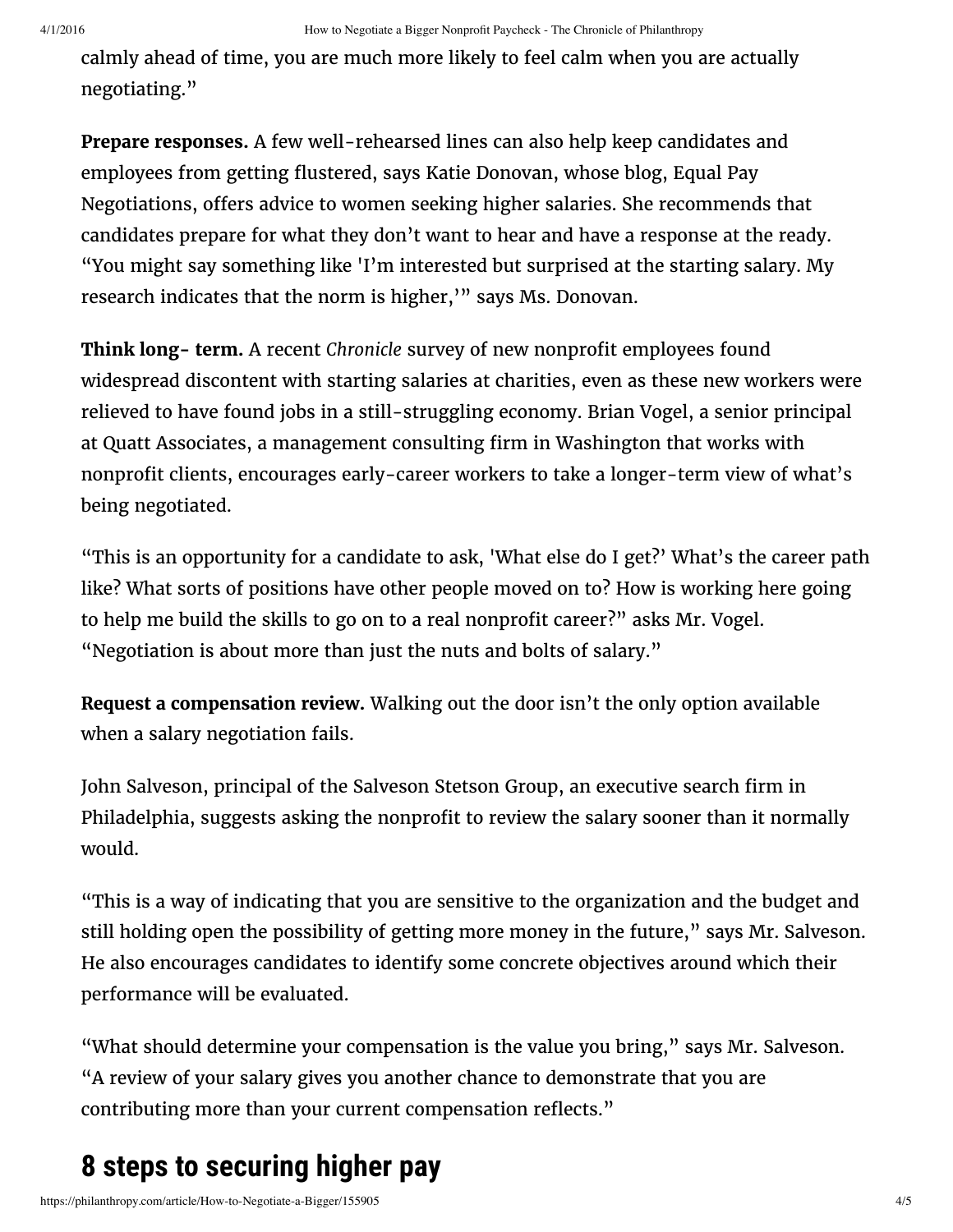calmly ahead of time, you are much more likely to feel calm when you are actually negotiating."

**Prepare responses.** A few well-rehearsed lines can also help keep candidates and employees from getting flustered, says Katie Donovan, whose blog, Equal Pay Negotiations, offers advice to women seeking higher salaries. She recommends that candidates prepare for what they don't want to hear and have a response at the ready. "You might say something like 'I'm interested but surprised at the starting salary. My research indicates that the norm is higher," says Ms. Donovan.

**Think long- term.** A recent *Chronicle* [survey](http://philanthropy.com/article/Fledgling-Nonprofit-Workers/133001/) of new nonprofit employees found widespread discontent with starting salaries at charities, even as these new workers were relieved to have found jobs in a still-struggling economy. Brian Vogel, a senior principal at Quatt Associates, a management consulting firm in Washington that works with nonprofit clients, encourages early-career workers to take a longer-term view of what's being negotiated.

"This is an opportunity for a candidate to ask, 'What else do I get?' What's the career path like? What sorts of positions have other people moved on to? How is working here going to help me build the skills to go on to a real nonprofit career?" asks Mr. Vogel. "Negotiation is about more than just the nuts and bolts of salary."

**Request a compensation review.** Walking out the door isn't the only option available when a salary negotiation fails.

John Salveson, principal of the Salveson Stetson Group, an executive search firm in Philadelphia, suggests asking the nonprofit to review the salary sooner than it normally would.

"This is a way of indicating that you are sensitive to the organization and the budget and still holding open the possibility of getting more money in the future," says Mr. Salveson. He also encourages candidates to identify some concrete objectives around which their performance will be evaluated.

"What should determine your compensation is the value you bring," says Mr. Salveson. "A review of your salary gives you another chance to demonstrate that you are contributing more than your current compensation reflects."

### **8 steps to securing higher pay**